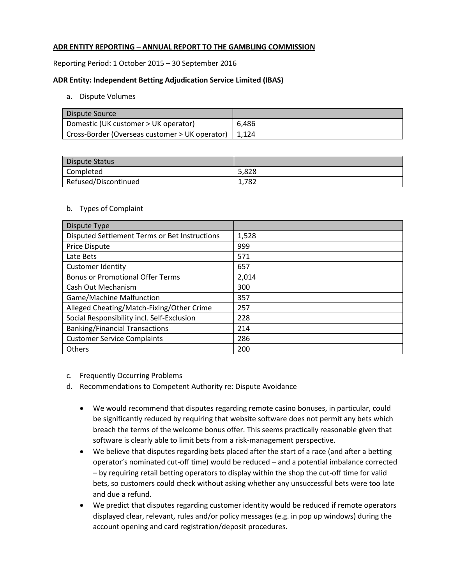# **ADR ENTITY REPORTING – ANNUAL REPORT TO THE GAMBLING COMMISSION**

Reporting Period: 1 October 2015 – 30 September 2016

### **ADR Entity: Independent Betting Adjudication Service Limited (IBAS)**

### a. Dispute Volumes

| Dispute Source                                         |       |
|--------------------------------------------------------|-------|
| Domestic (UK customer > UK operator)                   | 6.486 |
| Cross-Border (Overseas customer > UK operator)   1,124 |       |

| Dispute Status       |       |
|----------------------|-------|
| Completed            | 5,828 |
| Refused/Discontinued | 1.782 |

#### b. Types of Complaint

| Dispute Type                                  |       |
|-----------------------------------------------|-------|
| Disputed Settlement Terms or Bet Instructions | 1,528 |
| <b>Price Dispute</b>                          | 999   |
| Late Bets                                     | 571   |
| <b>Customer Identity</b>                      | 657   |
| <b>Bonus or Promotional Offer Terms</b>       | 2,014 |
| Cash Out Mechanism                            | 300   |
| <b>Game/Machine Malfunction</b>               | 357   |
| Alleged Cheating/Match-Fixing/Other Crime     | 257   |
| Social Responsibility incl. Self-Exclusion    | 228   |
| <b>Banking/Financial Transactions</b>         | 214   |
| <b>Customer Service Complaints</b>            | 286   |
| Others                                        | 200   |

- c. Frequently Occurring Problems
- d. Recommendations to Competent Authority re: Dispute Avoidance
	- We would recommend that disputes regarding remote casino bonuses, in particular, could be significantly reduced by requiring that website software does not permit any bets which breach the terms of the welcome bonus offer. This seems practically reasonable given that software is clearly able to limit bets from a risk-management perspective.
	- We believe that disputes regarding bets placed after the start of a race (and after a betting operator's nominated cut-off time) would be reduced – and a potential imbalance corrected – by requiring retail betting operators to display within the shop the cut-off time for valid bets, so customers could check without asking whether any unsuccessful bets were too late and due a refund.
	- We predict that disputes regarding customer identity would be reduced if remote operators displayed clear, relevant, rules and/or policy messages (e.g. in pop up windows) during the account opening and card registration/deposit procedures.